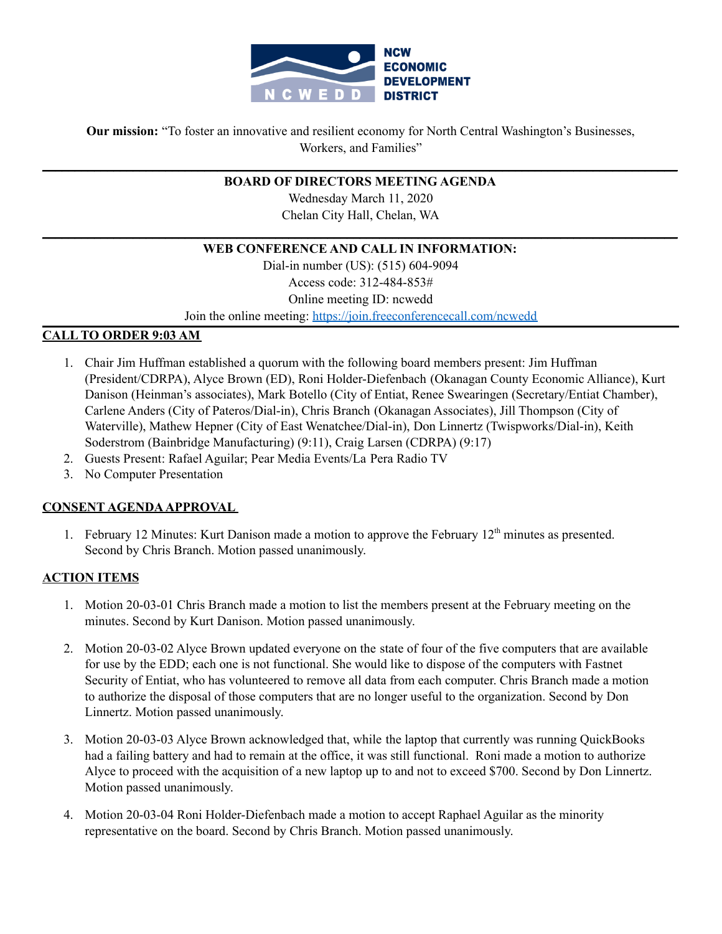

**Our mission:** "To foster an innovative and resilient economy for North Central Washington's Businesses, Workers, and Families"

## **\_\_\_\_\_\_\_\_\_\_\_\_\_\_\_\_\_\_\_\_\_\_\_\_\_\_\_\_\_\_\_\_\_\_\_\_\_\_\_\_\_\_\_\_\_\_\_\_\_\_\_\_\_\_\_\_\_\_\_\_\_\_\_\_\_\_\_\_\_\_\_\_\_\_\_\_\_\_\_\_\_\_\_\_\_\_\_\_\_\_\_\_\_\_\_\_\_\_ BOARD OF DIRECTORS MEETING AGENDA**

Wednesday March 11, 2020 Chelan City Hall, Chelan, WA

## **\_\_\_\_\_\_\_\_\_\_\_\_\_\_\_\_\_\_\_\_\_\_\_\_\_\_\_\_\_\_\_\_\_\_\_\_\_\_\_\_\_\_\_\_\_\_\_\_\_\_\_\_\_\_\_\_\_\_\_\_\_\_\_\_\_\_\_\_\_\_\_\_\_\_\_\_\_\_\_\_\_\_\_\_\_\_\_\_\_\_\_\_\_\_\_\_\_\_ WEB CONFERENCE AND CALL IN INFORMATION:**

Dial-in number (US): (515) 604-9094 Access code: 312-484-853# Online meeting ID: ncwedd Join the online meeting: https://join.freeconferencecall.com/ncwedd

# **CALL TO ORDER 9:03 AM**

- 1. Chair Jim Huffman established a quorum with the following board members present: Jim Huffman (President/CDRPA), Alyce Brown (ED), Roni Holder-Diefenbach (Okanagan County Economic Alliance), Kurt Danison (Heinman's associates), Mark Botello (City of Entiat, Renee Swearingen (Secretary/Entiat Chamber), Carlene Anders (City of Pateros/Dial-in), Chris Branch (Okanagan Associates), Jill Thompson (City of Waterville), Mathew Hepner (City of East Wenatchee/Dial-in), Don Linnertz (Twispworks/Dial-in), Keith Soderstrom (Bainbridge Manufacturing) (9:11), Craig Larsen (CDRPA) (9:17)
- 2. Guests Present: Rafael Aguilar; Pear Media Events/La Pera Radio TV
- 3. No Computer Presentation

# **CONSENT AGENDAAPPROVAL**

1. February 12 Minutes: Kurt Danison made a motion to approve the February 12<sup>th</sup> minutes as presented. Second by Chris Branch. Motion passed unanimously.

# **ACTION ITEMS**

- 1. Motion 20-03-01 Chris Branch made a motion to list the members present at the February meeting on the minutes. Second by Kurt Danison. Motion passed unanimously.
- 2. Motion 20-03-02 Alyce Brown updated everyone on the state of four of the five computers that are available for use by the EDD; each one is not functional. She would like to dispose of the computers with Fastnet Security of Entiat, who has volunteered to remove all data from each computer. Chris Branch made a motion to authorize the disposal of those computers that are no longer useful to the organization. Second by Don Linnertz. Motion passed unanimously.
- 3. Motion 20-03-03 Alyce Brown acknowledged that, while the laptop that currently was running QuickBooks had a failing battery and had to remain at the office, it was still functional. Roni made a motion to authorize Alyce to proceed with the acquisition of a new laptop up to and not to exceed \$700. Second by Don Linnertz. Motion passed unanimously.
- 4. Motion 20-03-04 Roni Holder-Diefenbach made a motion to accept Raphael Aguilar as the minority representative on the board. Second by Chris Branch. Motion passed unanimously.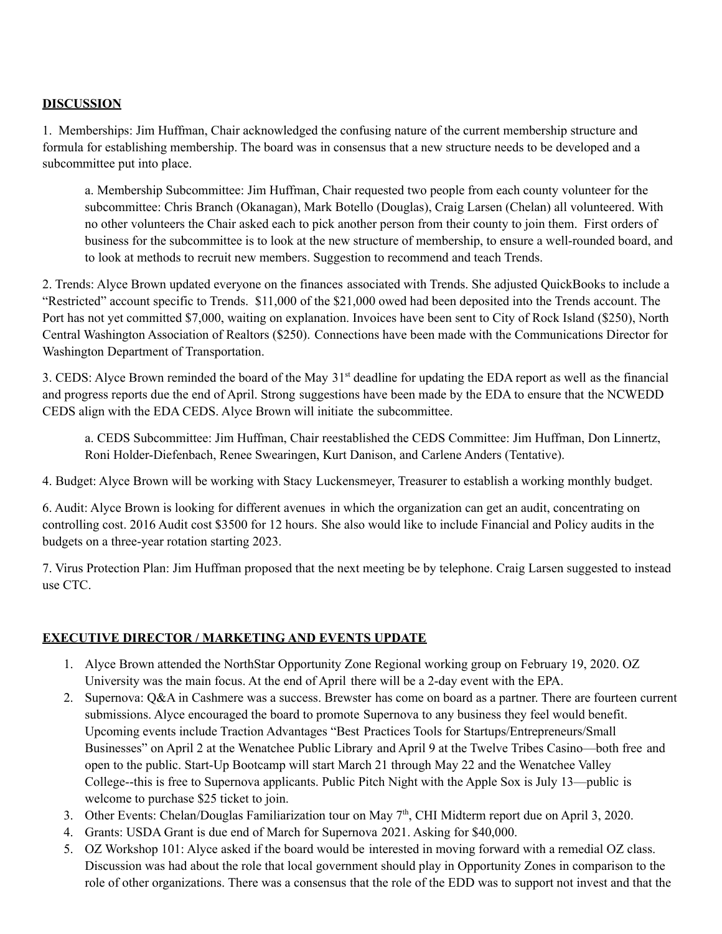# **DISCUSSION**

1. Memberships: Jim Huffman, Chair acknowledged the confusing nature of the current membership structure and formula for establishing membership. The board was in consensus that a new structure needs to be developed and a subcommittee put into place.

a. Membership Subcommittee: Jim Huffman, Chair requested two people from each county volunteer for the subcommittee: Chris Branch (Okanagan), Mark Botello (Douglas), Craig Larsen (Chelan) all volunteered. With no other volunteers the Chair asked each to pick another person from their county to join them. First orders of business for the subcommittee is to look at the new structure of membership, to ensure a well-rounded board, and to look at methods to recruit new members. Suggestion to recommend and teach Trends.

2. Trends: Alyce Brown updated everyone on the finances associated with Trends. She adjusted QuickBooks to include a "Restricted" account specific to Trends. \$11,000 of the \$21,000 owed had been deposited into the Trends account. The Port has not yet committed \$7,000, waiting on explanation. Invoices have been sent to City of Rock Island (\$250), North Central Washington Association of Realtors (\$250). Connections have been made with the Communications Director for Washington Department of Transportation.

3. CEDS: Alyce Brown reminded the board of the May 31 st deadline for updating the EDA report as well as the financial and progress reports due the end of April. Strong suggestions have been made by the EDA to ensure that the NCWEDD CEDS align with the EDA CEDS. Alyce Brown will initiate the subcommittee.

a. CEDS Subcommittee: Jim Huffman, Chair reestablished the CEDS Committee: Jim Huffman, Don Linnertz, Roni Holder-Diefenbach, Renee Swearingen, Kurt Danison, and Carlene Anders (Tentative).

4. Budget: Alyce Brown will be working with Stacy Luckensmeyer, Treasurer to establish a working monthly budget.

6. Audit: Alyce Brown is looking for different avenues in which the organization can get an audit, concentrating on controlling cost. 2016 Audit cost \$3500 for 12 hours. She also would like to include Financial and Policy audits in the budgets on a three-year rotation starting 2023.

7. Virus Protection Plan: Jim Huffman proposed that the next meeting be by telephone. Craig Larsen suggested to instead use CTC.

# **EXECUTIVE DIRECTOR / MARKETING AND EVENTS UPDATE**

- 1. Alyce Brown attended the NorthStar Opportunity Zone Regional working group on February 19, 2020. OZ University was the main focus. At the end of April there will be a 2-day event with the EPA.
- 2. Supernova: Q&A in Cashmere was a success. Brewster has come on board as a partner. There are fourteen current submissions. Alyce encouraged the board to promote Supernova to any business they feel would benefit. Upcoming events include Traction Advantages "Best Practices Tools for Startups/Entrepreneurs/Small Businesses" on April 2 at the Wenatchee Public Library and April 9 at the Twelve Tribes Casino—both free and open to the public. Start-Up Bootcamp will start March 21 through May 22 and the Wenatchee Valley College--this is free to Supernova applicants. Public Pitch Night with the Apple Sox is July 13—public is welcome to purchase \$25 ticket to join.
- 3. Other Events: Chelan/Douglas Familiarization tour on May 7<sup>th</sup>, CHI Midterm report due on April 3, 2020.
- 4. Grants: USDA Grant is due end of March for Supernova 2021. Asking for \$40,000.
- 5. OZ Workshop 101: Alyce asked if the board would be interested in moving forward with a remedial OZ class. Discussion was had about the role that local government should play in Opportunity Zones in comparison to the role of other organizations. There was a consensus that the role of the EDD was to support not invest and that the